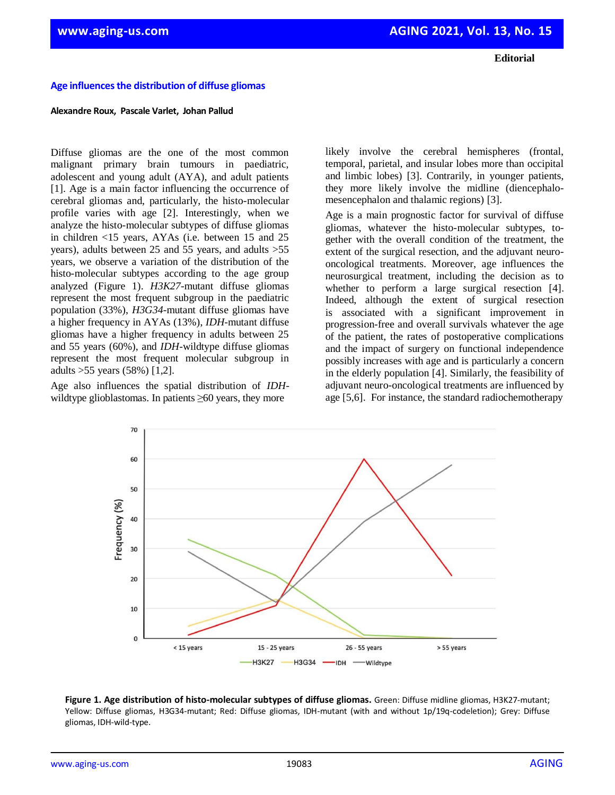**Editorial**

## **Age influences the distribution of diffuse gliomas**

## **Alexandre Roux, Pascale Varlet, Johan Pallud**

Diffuse gliomas are the one of the most common malignant primary brain tumours in paediatric, adolescent and young adult (AYA), and adult patients [1]. Age is a main factor influencing the occurrence of cerebral gliomas and, particularly, the histo-molecular profile varies with age [2]. Interestingly, when we analyze the histo-molecular subtypes of diffuse gliomas in children <15 years, AYAs (i.e. between 15 and 25 years), adults between 25 and 55 years, and adults >55 years, we observe a variation of the distribution of the histo-molecular subtypes according to the age group analyzed (Figure 1). *H3K27*-mutant diffuse gliomas represent the most frequent subgroup in the paediatric population (33%), *H3G34*-mutant diffuse gliomas have a higher frequency in AYAs (13%), *IDH*-mutant diffuse gliomas have a higher frequency in adults between 25 and 55 years (60%), and *IDH*-wildtype diffuse gliomas represent the most frequent molecular subgroup in adults >55 years (58%) [1,2].

Age also influences the spatial distribution of *IDH*wildtype glioblastomas. In patients ≥60 years, they more

likely involve the cerebral hemispheres (frontal, temporal, parietal, and insular lobes more than occipital and limbic lobes) [3]. Contrarily, in younger patients, they more likely involve the midline (diencephalomesencephalon and thalamic regions) [3].

Age is a main prognostic factor for survival of diffuse gliomas, whatever the histo-molecular subtypes, together with the overall condition of the treatment, the extent of the surgical resection, and the adjuvant neurooncological treatments. Moreover, age influences the neurosurgical treatment, including the decision as to whether to perform a large surgical resection [4]. Indeed, although the extent of surgical resection is associated with a significant improvement in progression-free and overall survivals whatever the age of the patient, the rates of postoperative complications and the impact of surgery on functional independence possibly increases with age and is particularly a concern in the elderly population [4]. Similarly, the feasibility of adjuvant neuro-oncological treatments are influenced by age [5,6]. For instance, the standard radiochemotherapy



**Figure 1. Age distribution of histo-molecular subtypes of diffuse gliomas.** Green: Diffuse midline gliomas, H3K27-mutant; Yellow: Diffuse gliomas, H3G34-mutant; Red: Diffuse gliomas, IDH-mutant (with and without 1p/19q-codeletion); Grey: Diffuse gliomas, IDH-wild-type.